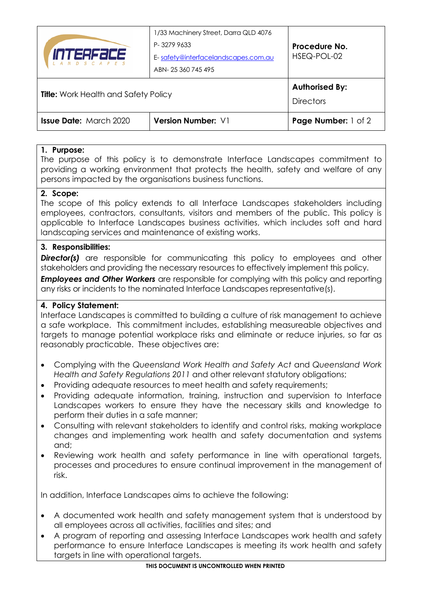| <i>INTERSEEE</i><br>N D S C A P E S         | 1/33 Machinery Street, Darra QLD 4076<br>P-32799633<br>E-safety@interfacelandscapes.com.au<br>ABN-25 360 745 495 | Procedure No.<br>HSEQ-POL-02              |
|---------------------------------------------|------------------------------------------------------------------------------------------------------------------|-------------------------------------------|
| <b>Title:</b> Work Health and Safety Policy |                                                                                                                  | <b>Authorised By:</b><br><b>Directors</b> |
| <b>Issue Date: March 2020</b>               | <b>Version Number: V1</b>                                                                                        | Page Number: 1 of 2                       |

## **1. Purpose:**

The purpose of this policy is to demonstrate Interface Landscapes commitment to providing a working environment that protects the health, safety and welfare of any persons impacted by the organisations business functions.

## **2. Scope:**

The scope of this policy extends to all Interface Landscapes stakeholders including employees, contractors, consultants, visitors and members of the public. This policy is applicable to Interface Landscapes business activities, which includes soft and hard landscaping services and maintenance of existing works.

## **3. Responsibilities:**

**Director(s)** are responsible for communicating this policy to employees and other stakeholders and providing the necessary resources to effectively implement this policy.

**Employees and Other Workers** are responsible for complying with this policy and reporting any risks or incidents to the nominated Interface Landscapes representative(s).

## **4. Policy Statement:**

Interface Landscapes is committed to building a culture of risk management to achieve a safe workplace. This commitment includes, establishing measureable objectives and targets to manage potential workplace risks and eliminate or reduce injuries, so far as reasonably practicable. These objectives are:

- Complying with the *Queensland Work Health and Safety Act* and *Queensland Work Health and Safety Regulations 2011* and other relevant statutory obligations;
- Providing adequate resources to meet health and safety requirements;
- Providing adequate information, training, instruction and supervision to Interface Landscapes workers to ensure they have the necessary skills and knowledge to perform their duties in a safe manner;
- Consulting with relevant stakeholders to identify and control risks, making workplace changes and implementing work health and safety documentation and systems and;
- Reviewing work health and safety performance in line with operational targets, processes and procedures to ensure continual improvement in the management of risk.

In addition, Interface Landscapes aims to achieve the following:

- A documented work health and safety management system that is understood by all employees across all activities, facilities and sites; and
- A program of reporting and assessing Interface Landscapes work health and safety performance to ensure Interface Landscapes is meeting its work health and safety targets in line with operational targets.